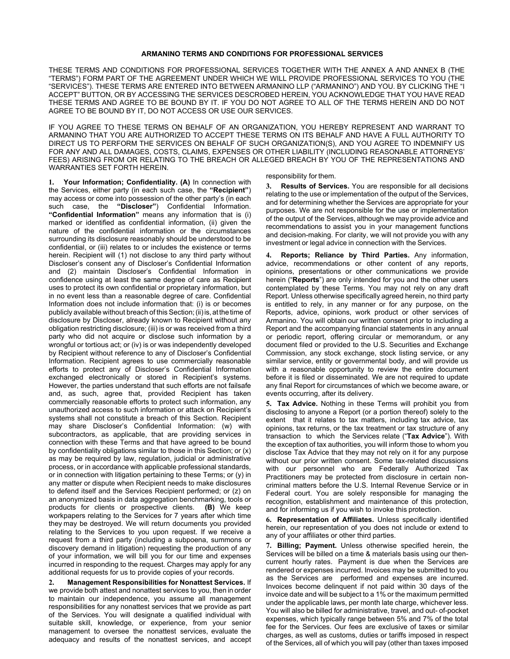#### **ARMANINO TERMS AND CONDITIONS FOR PROFESSIONAL SERVICES**

THESE TERMS AND CONDITIONS FOR PROFESSIONAL SERVICES TOGETHER WITH THE ANNEX A AND ANNEX B (THE "TERMS") FORM PART OF THE AGREEMENT UNDER WHICH WE WILL PROVIDE PROFESSIONAL SERVICES TO YOU (THE "SERVICES"). THESE TERMS ARE ENTERED INTO BETWEEN ARMANINO LLP ("ARMANINO") AND YOU. BY CLICKING THE "I ACCEPT" BUTTON, OR BY ACCESSING THE SERVICES DESCROBED HEREIN, YOU ACKNOWLEDGE THAT YOU HAVE READ THESE TERMS AND AGREE TO BE BOUND BY IT. IF YOU DO NOT AGREE TO ALL OF THE TERMS HEREIN AND DO NOT AGREE TO BE BOUND BY IT, DO NOT ACCESS OR USE OUR SERVICES.

IF YOU AGREE TO THESE TERMS ON BEHALF OF AN ORGANIZATION, YOU HEREBY REPRESENT AND WARRANT TO ARMANINO THAT YOU ARE AUTHORIZED TO ACCEPT THESE TERMS ON ITS BEHALF AND HAVE A FULL AUTHORITY TO DIRECT US TO PERFORM THE SERVICES ON BEHALF OF SUCH ORGANIZATION(S), AND YOU AGREE TO INDEMNIFY US FOR ANY AND ALL DAMAGES, COSTS, CLAIMS, EXPENSES OR OTHER LIABILITY (INCLUDING REASONABLE ATTORNEYS' FEES) ARISING FROM OR RELATING TO THE BREACH OR ALLEGED BREACH BY YOU OF THE REPRESENTATIONS AND WARRANTIES SET FORTH HEREIN.

**1. Your Information; Confidentiality. (A)** In connection with the Services, either party (in each such case, the **"Recipient"**) may access or come into possession of the other party's (in each such case, the **"Discloser"**) Confidential Information. **"Confidential Information"** means any information that is (i) marked or identified as confidential information, (ii) given the nature of the confidential information or the circumstances surrounding its disclosure reasonably should be understood to be confidential, or (iii) relates to or includes the existence or terms herein. Recipient will (1) not disclose to any third party without Discloser's consent any of Discloser's Confidential Information and (2) maintain Discloser's Confidential Information in confidence using at least the same degree of care as Recipient uses to protect its own confidential or proprietary information, but in no event less than a reasonable degree of care. Confidential Information does not include information that: (i) is or becomes publicly available without breach of this Section; (ii) is, at the time of disclosure by Discloser, already known to Recipient without any obligation restricting disclosure; (iii) is or was received from a third party who did not acquire or disclose such information by a wrongful or tortious act; or (iv) is or was independently developed by Recipient without reference to any of Discloser's Confidential Information. Recipient agrees to use commercially reasonable efforts to protect any of Discloser's Confidential Information exchanged electronically or stored in Recipient's systems. However, the parties understand that such efforts are not failsafe and, as such, agree that, provided Recipient has taken commercially reasonable efforts to protect such information, any unauthorized access to such information or attack on Recipient's systems shall not constitute a breach of this Section. Recipient may share Discloser's Confidential Information: (w) with subcontractors, as applicable, that are providing services in connection with these Terms and that have agreed to be bound by confidentiality obligations similar to those in this Section; or (x) as may be required by law, regulation, judicial or administrative process, or in accordance with applicable professional standards, or in connection with litigation pertaining to these Terms; or (y) in any matter or dispute when Recipient needs to make disclosures to defend itself and the Services Recipient performed; or (z) on an anonymized basis in data aggregation benchmarking, tools or products for clients or prospective clients. **(B)** We keep workpapers relating to the Services for 7 years after which time they may be destroyed. We will return documents you provided relating to the Services to you upon request. If we receive a request from a third party (including a subpoena, summons or discovery demand in litigation) requesting the production of any of your information, we will bill you for our time and expenses incurred in responding to the request. Charges may apply for any additional requests for us to provide copies of your records.

**2. Management Responsibilities for Nonattest Services.** If we provide both attest and nonattest services to you, then in order to maintain our independence, you assume all management responsibilities for any nonattest services that we provide as part of the Services. You will designate a qualified individual with suitable skill, knowledge, or experience, from your senior management to oversee the nonattest services, evaluate the adequacy and results of the nonattest services, and accept responsibility for them.

**3. Results of Services.** You are responsible for all decisions relating to the use or implementation of the output of the Services, and for determining whether the Services are appropriate for your purposes. We are not responsible for the use or implementation of the output of the Services, although we may provide advice and recommendations to assist you in your management functions and decision-making. For clarity, we will not provide you with any investment or legal advice in connection with the Services.

**4. Reports; Reliance by Third Parties.** Any information, advice, recommendations or other content of any reports, opinions, presentations or other communications we provide herein ("**Reports**") are only intended for you and the other users contemplated by these Terms. You may not rely on any draft Report. Unless otherwise specifically agreed herein, no third party is entitled to rely, in any manner or for any purpose, on the Reports, advice, opinions, work product or other services of Armanino. You will obtain our written consent prior to including a Report and the accompanying financial statements in any annual or periodic report, offering circular or memorandum, or any document filed or provided to the U.S. Securities and Exchange Commission, any stock exchange, stock listing service, or any similar service, entity or governmental body, and will provide us with a reasonable opportunity to review the entire document before it is filed or disseminated. We are not required to update any final Report for circumstances of which we become aware, or events occurring, after its delivery.

**5. Tax Advice.** Nothing in these Terms will prohibit you from disclosing to anyone a Report (or a portion thereof) solely to the extent that it relates to tax matters, including tax advice, tax opinions, tax returns, or the tax treatment or tax structure of any transaction to which the Services relate ("**Tax Advice**"). With the exception of tax authorities, you will inform those to whom you disclose Tax Advice that they may not rely on it for any purpose without our prior written consent. Some tax-related discussions with our personnel who are Federally Authorized Tax Practitioners may be protected from disclosure in certain noncriminal matters before the U.S. Internal Revenue Service or in Federal court. You are solely responsible for managing the recognition, establishment and maintenance of this protection, and for informing us if you wish to invoke this protection.

**6. Representation of Affiliates.** Unless specifically identified herein, our representation of you does not include or extend to any of your affiliates or other third parties.

**7. Billing; Payment.** Unless otherwise specified herein, the Services will be billed on a time & materials basis using our thencurrent hourly rates. Payment is due when the Services are rendered or expenses incurred. Invoices may be submitted to you as the Services are performed and expenses are incurred. Invoices become delinquent if not paid within 30 days of the invoice date and will be subject to a 1% or the maximum permitted under the applicable laws, per month late charge, whichever less. You will also be billed for administrative, travel, and out- of-pocket expenses, which typically range between 5% and 7% of the total fee for the Services. Our fees are exclusive of taxes or similar charges, as well as customs, duties or tariffs imposed in respect of the Services, all of which you will pay (other than taxes imposed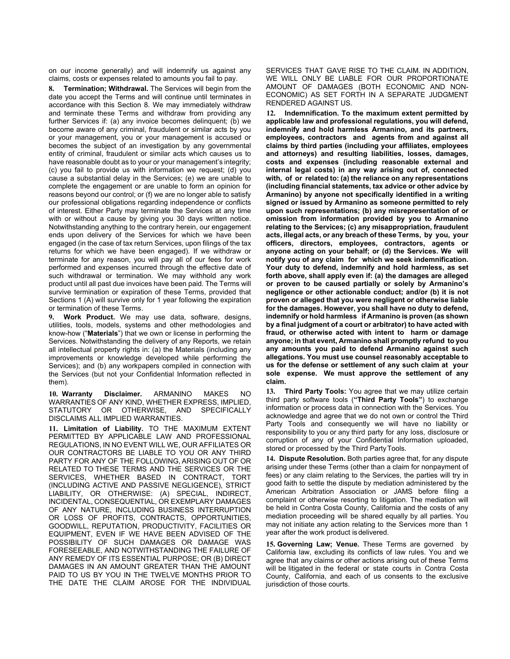on our income generally) and will indemnify us against any claims, costs or expenses related to amounts you fail to pay.

**8. Termination; Withdrawal.** The Services will begin from the date you accept the Terms and will continue until terminates in accordance with this Section 8. We may immediately withdraw and terminate these Terms and withdraw from providing any further Services if: (a) any invoice becomes delinguent: (b) we become aware of any criminal, fraudulent or similar acts by you or your management, you or your management is accused or becomes the subject of an investigation by any governmental entity of criminal, fraudulent or similar acts which causes us to have reasonable doubt as to your or your management's integrity; (c) you fail to provide us with information we request; (d) you cause a substantial delay in the Services; (e) we are unable to complete the engagement or are unable to form an opinion for reasons beyond our control; or (f) we are no longer able to satisfy our professional obligations regarding independence or conflicts of interest. Either Party may terminate the Services at any time with or without a cause by giving you 30 days written notice. Notwithstanding anything to the contrary herein, our engagement ends upon delivery of the Services for which we have been engaged (in the case of tax return Services, upon filings of the tax returns for which we have been engaged). If we withdraw or terminate for any reason, you will pay all of our fees for work performed and expenses incurred through the effective date of such withdrawal or termination. We may withhold any work product until all past due invoices have been paid. The Terms will survive termination or expiration of these Terms, provided that Sections 1 (A) will survive only for 1 year following the expiration or termination of these Terms.

**9. Work Product.** We may use data, software, designs, utilities, tools, models, systems and other methodologies and know-how ("**Materials**") that we own or license in performing the Services. Notwithstanding the delivery of any Reports, we retain all intellectual property rights in: (a) the Materials (including any improvements or knowledge developed while performing the Services); and (b) any workpapers compiled in connection with the Services (but not your Confidential Information reflected in them).

**10. Warranty Disclaimer.** ARMANINO MAKES NO WARRANTIES OF ANY KIND, WHETHER EXPRESS, IMPLIED, STATUTORY OR OTHERWISE, AND SPECIFICALLY DISCLAIMS ALL IMPLIED WARRANTIES.

**11. Limitation of Liability.** TO THE MAXIMUM EXTENT PERMITTED BY APPLICABLE LAW AND PROFESSIONAL REGULATIONS, IN NO EVENT WILL WE, OUR AFFILIATES OR OUR CONTRACTORS BE LIABLE TO YOU OR ANY THIRD PARTY FOR ANY OF THE FOLLOWING, ARISING OUT OF OR RELATED TO THESE TERMS AND THE SERVICES OR THE SERVICES, WHETHER BASED IN CONTRACT, TORT (INCLUDING ACTIVE AND PASSIVE NEGLIGENCE), STRICT LIABILITY, OR OTHERWISE: (A) SPECIAL, INDIRECT, INCIDENTAL, CONSEQUENTIAL, OR EXEMPLARY DAMAGES OF ANY NATURE, INCLUDING BUSINESS INTERRUPTION OR LOSS OF PROFITS, CONTRACTS, OPPORTUNITIES, GOODWILL, REPUTATION, PRODUCTIVITY, FACILITIES OR EQUIPMENT, EVEN IF WE HAVE BEEN ADVISED OF THE POSSIBILITY OF SUCH DAMAGES OR DAMAGE WAS FORESEEABLE, AND NOTWITHSTANDING THE FAILURE OF ANY REMEDY OF ITS ESSENTIAL PURPOSE; OR (B) DIRECT DAMAGES IN AN AMOUNT GREATER THAN THE AMOUNT PAID TO US BY YOU IN THE TWELVE MONTHS PRIOR TO THE DATE THE CLAIM AROSE FOR THE INDIVIDUAL SERVICES THAT GAVE RISE TO THE CLAIM. IN ADDITION, WE WILL ONLY BE LIABLE FOR OUR PROPORTIONATE AMOUNT OF DAMAGES (BOTH ECONOMIC AND NON-ECONOMIC) AS SET FORTH IN A SEPARATE JUDGMENT RENDERED AGAINST US.

**12. Indemnification. To the maximum extent permitted by applicable law and professional regulations, you will defend, indemnify and hold harmless Armanino, and its partners, employees, contractors and agents from and against all claims by third parties (including your affiliates, employees and attorneys) and resulting liabilities, losses, damages, costs and expenses (including reasonable external and internal legal costs) in any way arising out of, connected with, of or related to: (a) the reliance on any representations (including financial statements, tax advice or other advice by Armanino) by anyone not specifically identified in a writing signed or issued by Armanino as someone permitted to rely upon such representations; (b) any misrepresentation of or omission from information provided by you to Armanino relating to the Services; (c) any misappropriation, fraudulent acts, illegal acts, or any breach of these Terms, by you, your officers, directors, employees, contractors, agents or anyone acting on your behalf; or (d) the Services. We will notify you of any claim for which we seek indemnification. Your duty to defend, indemnify and hold harmless, as set forth above, shall apply even if: (a) the damages are alleged or proven to be caused partially or solely by Armanino's negligence or other actionable conduct; and/or (b) it is not proven or alleged that you were negligent or otherwise liable for the damages. However, you shall have no duty to defend, indemnify or hold harmless if Armanino is proven (as shown by a final judgment of a court or arbitrator) to have acted with fraud, or otherwise acted with intent to harm or damage anyone; in that event, Armanino shall promptly refund to you any amounts you paid to defend Armanino against such allegations. You must use counsel reasonably acceptable to us for the defense or settlement of any such claim at your sole expense. We must approve the settlement of any claim.**

**13. Third Party Tools:** You agree that we may utilize certain third party software tools (**"Third Party Tools"**) to exchange information or process data in connection with the Services. You acknowledge and agree that we do not own or control the Third Party Tools and consequently we will have no liability or responsibility to you or any third party for any loss, disclosure or corruption of any of your Confidential Information uploaded, stored or processed by the Third PartyTools.

**14. Dispute Resolution.** Both parties agree that, for any dispute arising under these Terms (other than a claim for nonpayment of fees) or any claim relating to the Services, the parties will try in good faith to settle the dispute by mediation administered by the American Arbitration Association or JAMS before filing a complaint or otherwise resorting to litigation. The mediation will be held in Contra Costa County, California and the costs of any mediation proceeding will be shared equally by all parties. You may not initiate any action relating to the Services more than 1 year after the work product is delivered.

**15. Governing Law; Venue.** These Terms are governed by California law, excluding its conflicts of law rules. You and we agree that any claims or other actions arising out of these Terms will be litigated in the federal or state courts in Contra Costa County, California, and each of us consents to the exclusive jurisdiction of those courts.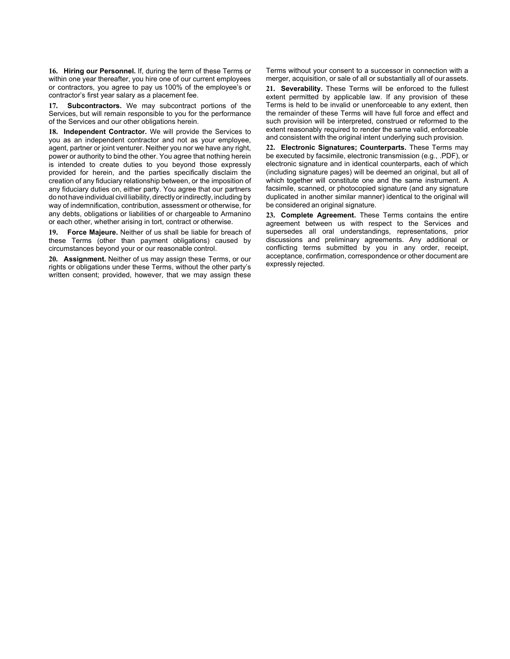**16. Hiring our Personnel.** If, during the term of these Terms or within one year thereafter, you hire one of our current employees or contractors, you agree to pay us 100% of the employee's or contractor's first year salary as a placement fee.

**17. Subcontractors.** We may subcontract portions of the Services, but will remain responsible to you for the performance of the Services and our other obligations herein.

**18. Independent Contractor.** We will provide the Services to you as an independent contractor and not as your employee, agent, partner or joint venturer. Neither you nor we have any right, power or authority to bind the other. You agree that nothing herein is intended to create duties to you beyond those expressly provided for herein, and the parties specifically disclaim the creation of any fiduciary relationship between, or the imposition of any fiduciary duties on, either party. You agree that our partners do not have individual civil liability, directly or indirectly, including by way of indemnification, contribution, assessment or otherwise, for any debts, obligations or liabilities of or chargeable to Armanino or each other, whether arising in tort, contract or otherwise.

**19. Force Majeure.** Neither of us shall be liable for breach of these Terms (other than payment obligations) caused by circumstances beyond your or our reasonable control.

**20. Assignment.** Neither of us may assign these Terms, or our rights or obligations under these Terms, without the other party's written consent; provided, however, that we may assign these Terms without your consent to a successor in connection with a merger, acquisition, or sale of all or substantially all of our assets.

**21. Severability.** These Terms will be enforced to the fullest extent permitted by applicable law. If any provision of these Terms is held to be invalid or unenforceable to any extent, then the remainder of these Terms will have full force and effect and such provision will be interpreted, construed or reformed to the extent reasonably required to render the same valid, enforceable and consistent with the original intent underlying such provision.

**22. Electronic Signatures; Counterparts.** These Terms may be executed by facsimile, electronic transmission (e.g., .PDF), or electronic signature and in identical counterparts, each of which (including signature pages) will be deemed an original, but all of which together will constitute one and the same instrument. A facsimile, scanned, or photocopied signature (and any signature duplicated in another similar manner) identical to the original will be considered an original signature.

**23. Complete Agreement.** These Terms contains the entire agreement between us with respect to the Services and supersedes all oral understandings, representations, prior discussions and preliminary agreements. Any additional or conflicting terms submitted by you in any order, receipt, acceptance, confirmation, correspondence or other document are expressly rejected.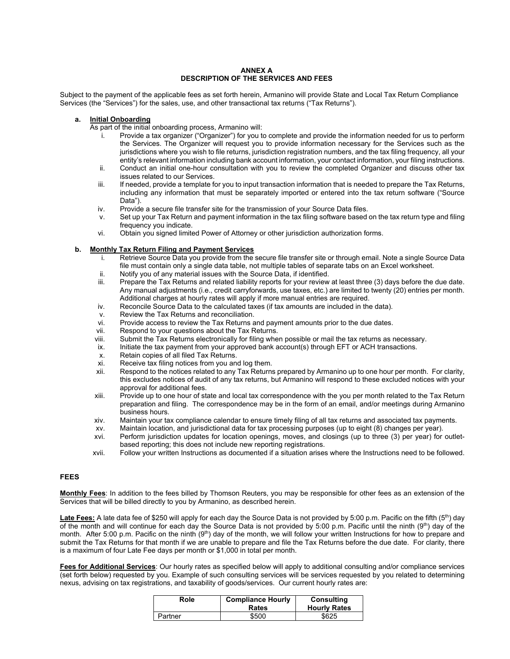#### **ANNEX A DESCRIPTION OF THE SERVICES AND FEES**

Subject to the payment of the applicable fees as set forth herein, Armanino will provide State and Local Tax Return Compliance Services (the "Services") for the sales, use, and other transactional tax returns ("Tax Returns").

# **a. Initial Onboarding**

As part of the initial onboarding process, Armanino will:

- i. Provide a tax organizer ("Organizer") for you to complete and provide the information needed for us to perform the Services. The Organizer will request you to provide information necessary for the Services such as the jurisdictions where you wish to file returns, jurisdiction registration numbers, and the tax filing frequency, all your entity's relevant information including bank account information, your contact information, your filing instructions.
- ii. Conduct an initial one-hour consultation with you to review the completed Organizer and discuss other tax issues related to our Services.
- iii. If needed, provide a template for you to input transaction information that is needed to prepare the Tax Returns, including any information that must be separately imported or entered into the tax return software ("Source Data").
- iv. Provide a secure file transfer site for the transmission of your Source Data files.
- v. Set up your Tax Return and payment information in the tax filing software based on the tax return type and filing frequency you indicate.
- vi. Obtain you signed limited Power of Attorney or other jurisdiction authorization forms.

#### **b. Monthly Tax Return Filing and Payment Services**

- i. Retrieve Source Data you provide from the secure file transfer site or through email. Note a single Source Data file must contain only a single data table, not multiple tables of separate tabs on an Excel worksheet.
- ii. Notify you of any material issues with the Source Data, if identified.
- iii. Prepare the Tax Returns and related liability reports for your review at least three (3) days before the due date. Any manual adjustments (i.e., credit carryforwards, use taxes, etc.) are limited to twenty (20) entries per month. Additional charges at hourly rates will apply if more manual entries are required.
- iv. Reconcile Source Data to the calculated taxes (if tax amounts are included in the data).
- v. Review the Tax Returns and reconciliation.
- vi. Provide access to review the Tax Returns and payment amounts prior to the due dates.
- vii. Respond to your questions about the Tax Returns.<br>viii. Submit the Tax Returns electronically for filing whe
- Submit the Tax Returns electronically for filing when possible or mail the tax returns as necessary.
- ix. Initiate the tax payment from your approved bank account(s) through EFT or ACH transactions.
- x. Retain copies of all filed Tax Returns.
- xi. Receive tax filing notices from you and log them.<br>xii Respond to the notices related to any Tax Returns
- Respond to the notices related to any Tax Returns prepared by Armanino up to one hour per month. For clarity, this excludes notices of audit of any tax returns, but Armanino will respond to these excluded notices with your approval for additional fees.
- xiii. Provide up to one hour of state and local tax correspondence with the you per month related to the Tax Return preparation and filing. The correspondence may be in the form of an email, and/or meetings during Armanino business hours.
- xiv. Maintain your tax compliance calendar to ensure timely filing of all tax returns and associated tax payments.
- xv. Maintain location, and jurisdictional data for tax processing purposes (up to eight (8) changes per year).
- xvi. Perform jurisdiction updates for location openings, moves, and closings (up to three (3) per year) for outletbased reporting; this does not include new reporting registrations.
- xvii. Follow your written Instructions as documented if a situation arises where the Instructions need to be followed.

#### **FEES**

**Monthly Fees**: In addition to the fees billed by Thomson Reuters, you may be responsible for other fees as an extension of the Services that will be billed directly to you by Armanino, as described herein.

Late Fees: A late data fee of \$250 will apply for each day the Source Data is not provided by 5:00 p.m. Pacific on the fifth (5<sup>th</sup>) day of the month and will continue for each day the Source Data is not provided by 5:00 p.m. Pacific until the ninth (9th) day of the month. After 5:00 p.m. Pacific on the ninth  $(9<sup>th</sup>)$  day of the month, we will follow your written Instructions for how to prepare and submit the Tax Returns for that month if we are unable to prepare and file the Tax Returns before the due date. For clarity, there is a maximum of four Late Fee days per month or \$1,000 in total per month.

**Fees for Additional Services**: Our hourly rates as specified below will apply to additional consulting and/or compliance services (set forth below) requested by you. Example of such consulting services will be services requested by you related to determining nexus, advising on tax registrations, and taxability of goods/services. Our current hourly rates are:

| Role    | <b>Compliance Hourly</b><br>Rates | <b>Consulting</b><br><b>Hourly Rates</b> |
|---------|-----------------------------------|------------------------------------------|
| Partner | \$500                             | \$625                                    |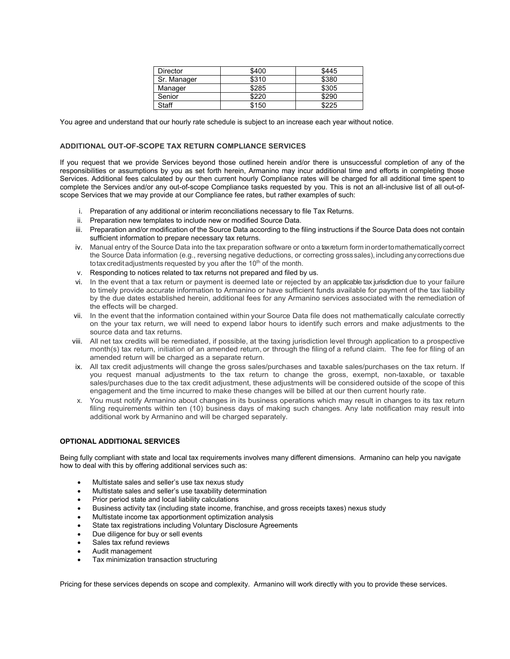| Director    | \$400 | \$445 |
|-------------|-------|-------|
| Sr. Manager | \$310 | \$380 |
| Manager     | \$285 | \$305 |
| Senior      | \$220 | \$290 |
| Staff       | \$150 | \$225 |

You agree and understand that our hourly rate schedule is subject to an increase each year without notice.

## **ADDITIONAL OUT-OF-SCOPE TAX RETURN COMPLIANCE SERVICES**

If you request that we provide Services beyond those outlined herein and/or there is unsuccessful completion of any of the responsibilities or assumptions by you as set forth herein, Armanino may incur additional time and efforts in completing those Services. Additional fees calculated by our then current hourly Compliance rates will be charged for all additional time spent to complete the Services and/or any out-of-scope Compliance tasks requested by you. This is not an all-inclusive list of all out-ofscope Services that we may provide at our Compliance fee rates, but rather examples of such:

- i. Preparation of any additional or interim reconciliations necessary to file Tax Returns.
- ii. Preparation new templates to include new or modified Source Data.
- iii. Preparation and/or modification of the Source Data according to the filing instructions if the Source Data does not contain sufficient information to prepare necessary tax returns.
- iv. Manual entry of the Source Data into the tax preparation software or onto a tax return form inordertomathematically correct the Source Data information (e.g., reversing negative deductions, or correcting grosssales), including anycorrections due totax credit adjustments requested by you after the  $10<sup>th</sup>$  of the month.
- v. Responding to notices related to tax returns not prepared and filed by us.
- vi. In the event that a tax return or payment is deemed late or rejected by an applicable tax jurisdiction due to your failure to timely provide accurate information to Armanino or have sufficient funds available for payment of the tax liability by the due dates established herein, additional fees for any Armanino services associated with the remediation of the effects will be charged.
- vii. In the event that the information contained within your Source Data file does not mathematically calculate correctly on the your tax return, we will need to expend labor hours to identify such errors and make adjustments to the source data and tax returns.
- viii. All net tax credits will be remediated, if possible, at the taxing jurisdiction level through application to a prospective month(s) tax return, initiation of an amended return, or through the filing of a refund claim. The fee for filing of an amended return will be charged as a separate return.
- ix. All tax credit adjustments will change the gross sales/purchases and taxable sales/purchases on the tax return. If you request manual adjustments to the tax return to change the gross, exempt, non-taxable, or taxable sales/purchases due to the tax credit adjustment, these adjustments will be considered outside of the scope of this engagement and the time incurred to make these changes will be billed at our then current hourly rate.
- x. You must notify Armanino about changes in its business operations which may result in changes to its tax return filing requirements within ten (10) business days of making such changes. Any late notification may result into additional work by Armanino and will be charged separately.

## **OPTIONAL ADDITIONAL SERVICES**

Being fully compliant with state and local tax requirements involves many different dimensions. Armanino can help you navigate how to deal with this by offering additional services such as:

- Multistate sales and seller's use tax nexus study
- Multistate sales and seller's use taxability determination
- Prior period state and local liability calculations
- Business activity tax (including state income, franchise, and gross receipts taxes) nexus study
- Multistate income tax apportionment optimization analysis
- State tax registrations including Voluntary Disclosure Agreements
- Due diligence for buy or sell events
- Sales tax refund reviews
- Audit management
- Tax minimization transaction structuring

Pricing for these services depends on scope and complexity. Armanino will work directly with you to provide these services.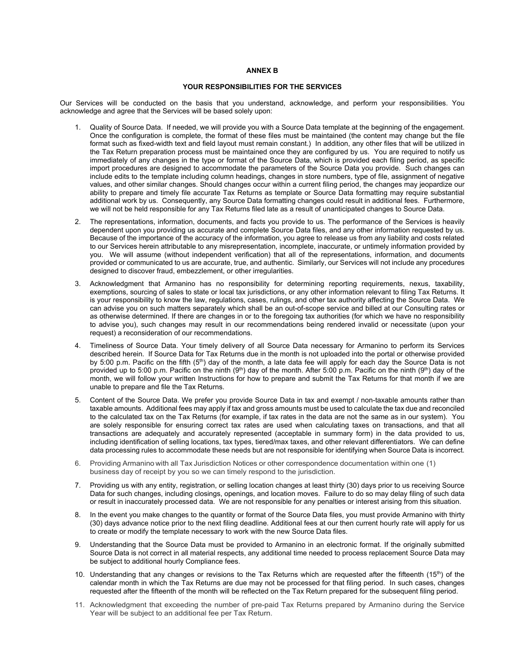#### **ANNEX B**

## **YOUR RESPONSIBILITIES FOR THE SERVICES**

Our Services will be conducted on the basis that you understand, acknowledge, and perform your responsibilities. You acknowledge and agree that the Services will be based solely upon:

- 1. Quality of Source Data. If needed, we will provide you with a Source Data template at the beginning of the engagement. Once the configuration is complete, the format of these files must be maintained (the content may change but the file format such as fixed-width text and field layout must remain constant.) In addition, any other files that will be utilized in the Tax Return preparation process must be maintained once they are configured by us. You are required to notify us immediately of any changes in the type or format of the Source Data, which is provided each filing period, as specific import procedures are designed to accommodate the parameters of the Source Data you provide. Such changes can include edits to the template including column headings, changes in store numbers, type of file, assignment of negative values, and other similar changes. Should changes occur within a current filing period, the changes may jeopardize our ability to prepare and timely file accurate Tax Returns as template or Source Data formatting may require substantial additional work by us. Consequently, any Source Data formatting changes could result in additional fees. Furthermore, we will not be held responsible for any Tax Returns filed late as a result of unanticipated changes to Source Data.
- 2. The representations, information, documents, and facts you provide to us. The performance of the Services is heavily dependent upon you providing us accurate and complete Source Data files, and any other information requested by us. Because of the importance of the accuracy of the information, you agree to release us from any liability and costs related to our Services herein attributable to any misrepresentation, incomplete, inaccurate, or untimely information provided by you. We will assume (without independent verification) that all of the representations, information, and documents provided or communicated to us are accurate, true, and authentic. Similarly, our Services will not include any procedures designed to discover fraud, embezzlement, or other irregularities.
- 3. Acknowledgment that Armanino has no responsibility for determining reporting requirements, nexus, taxability, exemptions, sourcing of sales to state or local tax jurisdictions, or any other information relevant to filing Tax Returns. It is your responsibility to know the law, regulations, cases, rulings, and other tax authority affecting the Source Data. We can advise you on such matters separately which shall be an out-of-scope service and billed at our Consulting rates or as otherwise determined. If there are changes in or to the foregoing tax authorities (for which we have no responsibility to advise you), such changes may result in our recommendations being rendered invalid or necessitate (upon your request) a reconsideration of our recommendations.
- 4. Timeliness of Source Data. Your timely delivery of all Source Data necessary for Armanino to perform its Services described herein. If Source Data for Tax Returns due in the month is not uploaded into the portal or otherwise provided by 5:00 p.m. Pacific on the fifth  $(5<sup>th</sup>)$  day of the month, a late data fee will apply for each day the Source Data is not provided up to 5:00 p.m. Pacific on the ninth  $(9<sup>th</sup>)$  day of the month. After 5:00 p.m. Pacific on the ninth  $(9<sup>th</sup>)$  day of the month, we will follow your written Instructions for how to prepare and submit the Tax Returns for that month if we are unable to prepare and file the Tax Returns.
- 5. Content of the Source Data. We prefer you provide Source Data in tax and exempt / non-taxable amounts rather than taxable amounts. Additional fees may apply if tax and gross amounts must be used to calculate the tax due and reconciled to the calculated tax on the Tax Returns (for example, if tax rates in the data are not the same as in our system). You are solely responsible for ensuring correct tax rates are used when calculating taxes on transactions, and that all transactions are adequately and accurately represented (acceptable in summary form) in the data provided to us, including identification of selling locations, tax types, tiered/max taxes, and other relevant differentiators. We can define data processing rules to accommodate these needs but are not responsible for identifying when Source Data is incorrect.
- 6. Providing Armanino with all Tax Jurisdiction Notices or other correspondence documentation within one (1) business day of receipt by you so we can timely respond to the jurisdiction.
- 7. Providing us with any entity, registration, or selling location changes at least thirty (30) days prior to us receiving Source Data for such changes, including closings, openings, and location moves. Failure to do so may delay filing of such data or result in inaccurately processed data. We are not responsible for any penalties or interest arising from this situation.
- 8. In the event you make changes to the quantity or format of the Source Data files, you must provide Armanino with thirty (30) days advance notice prior to the next filing deadline. Additional fees at our then current hourly rate will apply for us to create or modify the template necessary to work with the new Source Data files.
- 9. Understanding that the Source Data must be provided to Armanino in an electronic format. If the originally submitted Source Data is not correct in all material respects, any additional time needed to process replacement Source Data may be subject to additional hourly Compliance fees.
- 10. Understanding that any changes or revisions to the Tax Returns which are requested after the fifteenth  $(15<sup>th</sup>)$  of the calendar month in which the Tax Returns are due may not be processed for that filing period. In such cases, changes requested after the fifteenth of the month will be reflected on the Tax Return prepared for the subsequent filing period.
- 11. Acknowledgment that exceeding the number of pre-paid Tax Returns prepared by Armanino during the Service Year will be subject to an additional fee per Tax Return.